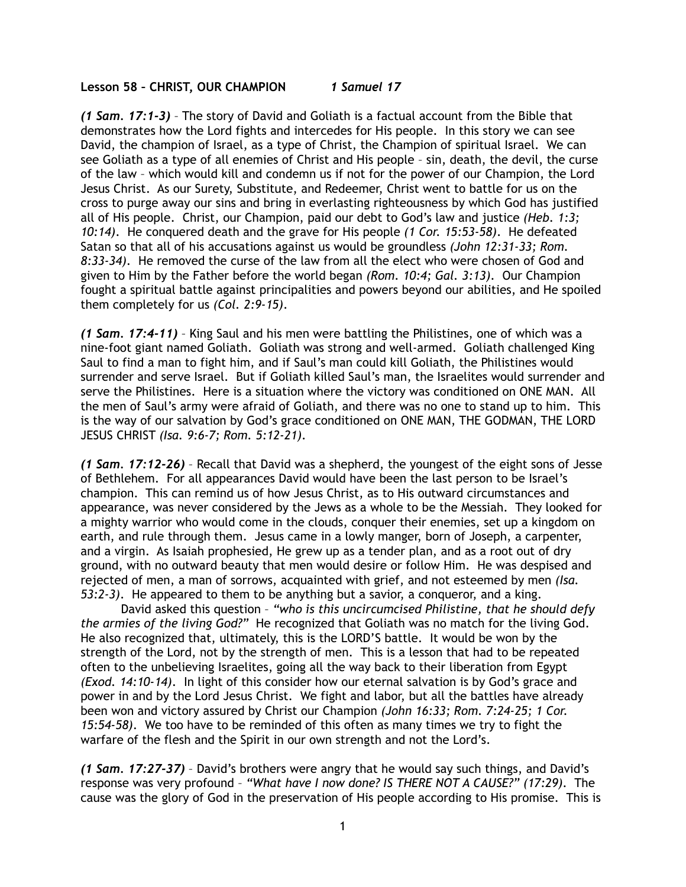## **Lesson 58 – CHRIST, OUR CHAMPION** *1 Samuel 17*

*(1 Sam. 17:1-3)* – The story of David and Goliath is a factual account from the Bible that demonstrates how the Lord fights and intercedes for His people. In this story we can see David, the champion of Israel, as a type of Christ, the Champion of spiritual Israel. We can see Goliath as a type of all enemies of Christ and His people – sin, death, the devil, the curse of the law – which would kill and condemn us if not for the power of our Champion, the Lord Jesus Christ. As our Surety, Substitute, and Redeemer, Christ went to battle for us on the cross to purge away our sins and bring in everlasting righteousness by which God has justified all of His people. Christ, our Champion, paid our debt to God's law and justice *(Heb. 1:3; 10:14)*. He conquered death and the grave for His people *(1 Cor. 15:53-58)*. He defeated Satan so that all of his accusations against us would be groundless *(John 12:31-33; Rom. 8:33-34)*. He removed the curse of the law from all the elect who were chosen of God and given to Him by the Father before the world began *(Rom. 10:4; Gal. 3:13)*. Our Champion fought a spiritual battle against principalities and powers beyond our abilities, and He spoiled them completely for us *(Col. 2:9-15)*.

*(1 Sam. 17:4-11)* – King Saul and his men were battling the Philistines, one of which was a nine-foot giant named Goliath. Goliath was strong and well-armed. Goliath challenged King Saul to find a man to fight him, and if Saul's man could kill Goliath, the Philistines would surrender and serve Israel. But if Goliath killed Saul's man, the Israelites would surrender and serve the Philistines. Here is a situation where the victory was conditioned on ONE MAN. All the men of Saul's army were afraid of Goliath, and there was no one to stand up to him. This is the way of our salvation by God's grace conditioned on ONE MAN, THE GODMAN, THE LORD JESUS CHRIST *(Isa. 9:6-7; Rom. 5:12-21)*.

*(1 Sam. 17:12-26)* – Recall that David was a shepherd, the youngest of the eight sons of Jesse of Bethlehem. For all appearances David would have been the last person to be Israel's champion. This can remind us of how Jesus Christ, as to His outward circumstances and appearance, was never considered by the Jews as a whole to be the Messiah. They looked for a mighty warrior who would come in the clouds, conquer their enemies, set up a kingdom on earth, and rule through them. Jesus came in a lowly manger, born of Joseph, a carpenter, and a virgin. As Isaiah prophesied, He grew up as a tender plan, and as a root out of dry ground, with no outward beauty that men would desire or follow Him. He was despised and rejected of men, a man of sorrows, acquainted with grief, and not esteemed by men *(Isa. 53:2-3)*. He appeared to them to be anything but a savior, a conqueror, and a king.

David asked this question – *"who is this uncircumcised Philistine, that he should defy the armies of the living God?"* He recognized that Goliath was no match for the living God. He also recognized that, ultimately, this is the LORD'S battle. It would be won by the strength of the Lord, not by the strength of men. This is a lesson that had to be repeated often to the unbelieving Israelites, going all the way back to their liberation from Egypt *(Exod. 14:10-14)*. In light of this consider how our eternal salvation is by God's grace and power in and by the Lord Jesus Christ. We fight and labor, but all the battles have already been won and victory assured by Christ our Champion *(John 16:33; Rom. 7:24-25; 1 Cor. 15:54-58)*. We too have to be reminded of this often as many times we try to fight the warfare of the flesh and the Spirit in our own strength and not the Lord's.

*(1 Sam. 17:27-37)* – David's brothers were angry that he would say such things, and David's response was very profound – *"What have I now done? IS THERE NOT A CAUSE?" (17:29)*. The cause was the glory of God in the preservation of His people according to His promise. This is